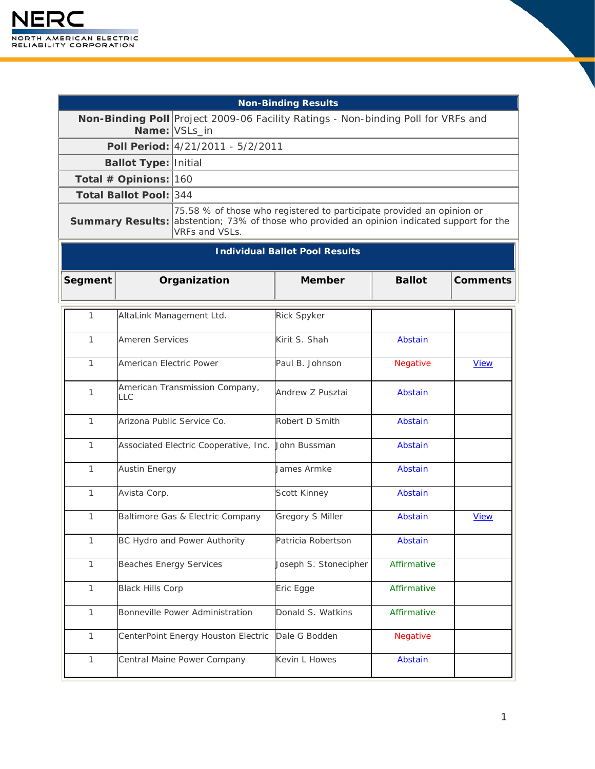| Non-Binding Poll Project 2009-06 Facility Ratings - Non-binding Poll for VRFs and<br>Name: VSLs_in<br>Poll Period: 4/21/2011 - 5/2/2011<br><b>Ballot Type: Initial</b><br>Total # Opinions: 160<br>Total Ballot Pool: 344<br>75.58 % of those who registered to participate provided an opinion or<br><b>Summary Results:</b> abstention; 73% of those who provided an opinion indicated support for the<br>VRFs and VSLs.<br><b>Individual Ballot Pool Results</b><br>Segment<br><b>Member</b><br><b>Ballot</b><br>Organization<br>1<br><b>Rick Spyker</b><br>AltaLink Management Ltd.<br><b>Ameren Services</b><br>Kirit S. Shah<br>1<br>Abstain<br>American Electric Power<br>Paul B. Johnson<br>1<br>Negative<br><b>View</b><br>American Transmission Company,<br>1<br>Andrew Z Pusztai<br>Abstain<br><b>LLC</b><br>1<br>Robert D Smith<br>Arizona Public Service Co.<br>Abstain<br>1<br>Abstain<br>Associated Electric Cooperative, Inc.<br>John Bussman<br>Abstain<br>1<br><b>Austin Energy</b><br>James Armke | <b>Non-Binding Results</b> |  |  |  |  |                 |
|----------------------------------------------------------------------------------------------------------------------------------------------------------------------------------------------------------------------------------------------------------------------------------------------------------------------------------------------------------------------------------------------------------------------------------------------------------------------------------------------------------------------------------------------------------------------------------------------------------------------------------------------------------------------------------------------------------------------------------------------------------------------------------------------------------------------------------------------------------------------------------------------------------------------------------------------------------------------------------------------------------------------|----------------------------|--|--|--|--|-----------------|
|                                                                                                                                                                                                                                                                                                                                                                                                                                                                                                                                                                                                                                                                                                                                                                                                                                                                                                                                                                                                                      |                            |  |  |  |  |                 |
|                                                                                                                                                                                                                                                                                                                                                                                                                                                                                                                                                                                                                                                                                                                                                                                                                                                                                                                                                                                                                      |                            |  |  |  |  |                 |
|                                                                                                                                                                                                                                                                                                                                                                                                                                                                                                                                                                                                                                                                                                                                                                                                                                                                                                                                                                                                                      |                            |  |  |  |  |                 |
|                                                                                                                                                                                                                                                                                                                                                                                                                                                                                                                                                                                                                                                                                                                                                                                                                                                                                                                                                                                                                      |                            |  |  |  |  |                 |
|                                                                                                                                                                                                                                                                                                                                                                                                                                                                                                                                                                                                                                                                                                                                                                                                                                                                                                                                                                                                                      |                            |  |  |  |  |                 |
|                                                                                                                                                                                                                                                                                                                                                                                                                                                                                                                                                                                                                                                                                                                                                                                                                                                                                                                                                                                                                      |                            |  |  |  |  |                 |
|                                                                                                                                                                                                                                                                                                                                                                                                                                                                                                                                                                                                                                                                                                                                                                                                                                                                                                                                                                                                                      |                            |  |  |  |  |                 |
|                                                                                                                                                                                                                                                                                                                                                                                                                                                                                                                                                                                                                                                                                                                                                                                                                                                                                                                                                                                                                      |                            |  |  |  |  | <b>Comments</b> |
|                                                                                                                                                                                                                                                                                                                                                                                                                                                                                                                                                                                                                                                                                                                                                                                                                                                                                                                                                                                                                      |                            |  |  |  |  |                 |
|                                                                                                                                                                                                                                                                                                                                                                                                                                                                                                                                                                                                                                                                                                                                                                                                                                                                                                                                                                                                                      |                            |  |  |  |  |                 |
|                                                                                                                                                                                                                                                                                                                                                                                                                                                                                                                                                                                                                                                                                                                                                                                                                                                                                                                                                                                                                      |                            |  |  |  |  |                 |
|                                                                                                                                                                                                                                                                                                                                                                                                                                                                                                                                                                                                                                                                                                                                                                                                                                                                                                                                                                                                                      |                            |  |  |  |  |                 |
|                                                                                                                                                                                                                                                                                                                                                                                                                                                                                                                                                                                                                                                                                                                                                                                                                                                                                                                                                                                                                      |                            |  |  |  |  |                 |
|                                                                                                                                                                                                                                                                                                                                                                                                                                                                                                                                                                                                                                                                                                                                                                                                                                                                                                                                                                                                                      |                            |  |  |  |  |                 |
|                                                                                                                                                                                                                                                                                                                                                                                                                                                                                                                                                                                                                                                                                                                                                                                                                                                                                                                                                                                                                      |                            |  |  |  |  |                 |
| 1<br>Avista Corp.<br>Scott Kinney<br>Abstain                                                                                                                                                                                                                                                                                                                                                                                                                                                                                                                                                                                                                                                                                                                                                                                                                                                                                                                                                                         |                            |  |  |  |  |                 |
| 1<br><b>Gregory S Miller</b><br>Baltimore Gas & Electric Company<br>Abstain<br><b>View</b>                                                                                                                                                                                                                                                                                                                                                                                                                                                                                                                                                                                                                                                                                                                                                                                                                                                                                                                           |                            |  |  |  |  |                 |
| BC Hydro and Power Authority<br>1<br>Patricia Robertson<br>Abstain                                                                                                                                                                                                                                                                                                                                                                                                                                                                                                                                                                                                                                                                                                                                                                                                                                                                                                                                                   |                            |  |  |  |  |                 |
| 1<br><b>Beaches Energy Services</b><br>Joseph S. Stonecipher<br>Affirmative                                                                                                                                                                                                                                                                                                                                                                                                                                                                                                                                                                                                                                                                                                                                                                                                                                                                                                                                          |                            |  |  |  |  |                 |
| 1<br>Affirmative<br><b>Black Hills Corp</b><br>Eric Egge                                                                                                                                                                                                                                                                                                                                                                                                                                                                                                                                                                                                                                                                                                                                                                                                                                                                                                                                                             |                            |  |  |  |  |                 |
| 1<br>Bonneville Power Administration<br>Donald S. Watkins<br>Affirmative                                                                                                                                                                                                                                                                                                                                                                                                                                                                                                                                                                                                                                                                                                                                                                                                                                                                                                                                             |                            |  |  |  |  |                 |
| 1<br>CenterPoint Energy Houston Electric<br><b>Negative</b><br>Dale G Bodden                                                                                                                                                                                                                                                                                                                                                                                                                                                                                                                                                                                                                                                                                                                                                                                                                                                                                                                                         |                            |  |  |  |  |                 |
| 1<br>Central Maine Power Company<br>Abstain<br>Kevin L Howes                                                                                                                                                                                                                                                                                                                                                                                                                                                                                                                                                                                                                                                                                                                                                                                                                                                                                                                                                         |                            |  |  |  |  |                 |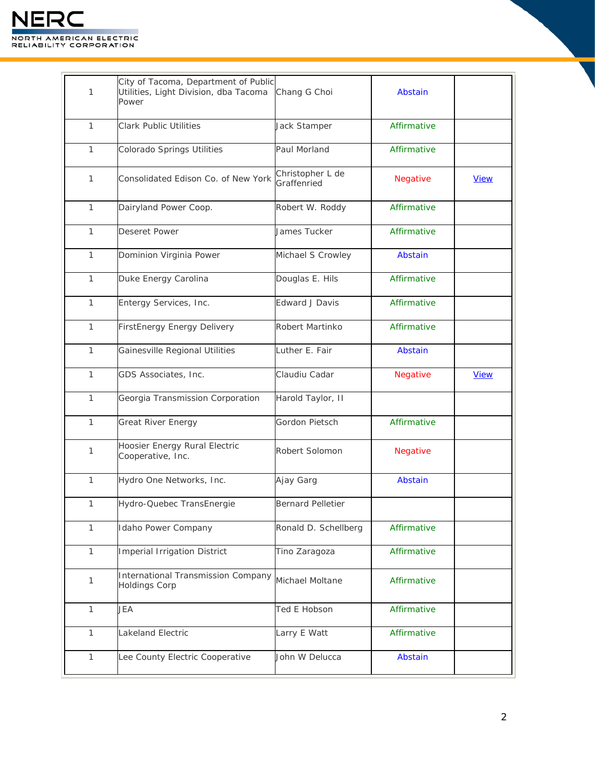

| 1            | City of Tacoma, Department of Public<br>Utilities, Light Division, dba Tacoma<br>Power | Chang G Choi                    | Abstain         |             |
|--------------|----------------------------------------------------------------------------------------|---------------------------------|-----------------|-------------|
| $\mathbf{1}$ | <b>Clark Public Utilities</b>                                                          | Jack Stamper                    | Affirmative     |             |
| 1            | <b>Colorado Springs Utilities</b>                                                      | Paul Morland                    | Affirmative     |             |
| 1            | Consolidated Edison Co. of New York                                                    | Christopher L de<br>Graffenried | <b>Negative</b> | <b>View</b> |
| $\mathbf{1}$ | Dairyland Power Coop.                                                                  | Robert W. Roddy                 | Affirmative     |             |
| 1            | <b>Deseret Power</b>                                                                   | James Tucker                    | Affirmative     |             |
| $\mathbf{1}$ | Dominion Virginia Power                                                                | Michael S Crowley               | Abstain         |             |
| $\mathbf{1}$ | Duke Energy Carolina                                                                   | Douglas E. Hils                 | Affirmative     |             |
| $\mathbf{1}$ | Entergy Services, Inc.                                                                 | <b>Edward J Davis</b>           | Affirmative     |             |
| $\mathbf{1}$ | FirstEnergy Energy Delivery                                                            | Robert Martinko                 | Affirmative     |             |
| 1            | Gainesville Regional Utilities                                                         | Luther E. Fair                  | Abstain         |             |
| $\mathbf{1}$ | GDS Associates, Inc.                                                                   | Claudiu Cadar                   | <b>Negative</b> | <b>View</b> |
| $\mathbf{1}$ | Georgia Transmission Corporation                                                       | Harold Taylor, II               |                 |             |
| $\mathbf{1}$ | <b>Great River Energy</b>                                                              | Gordon Pietsch                  | Affirmative     |             |
| $\mathbf{1}$ | Hoosier Energy Rural Electric<br>Cooperative, Inc.                                     | Robert Solomon                  | <b>Negative</b> |             |
| $\mathbf{1}$ | Hydro One Networks, Inc.                                                               | Ajay Garg                       | Abstain         |             |
| $\mathbf{1}$ | Hydro-Quebec TransEnergie                                                              | <b>Bernard Pelletier</b>        |                 |             |
| $\mathbf{1}$ | Idaho Power Company                                                                    | Ronald D. Schellberg            | Affirmative     |             |
| 1            | <b>Imperial Irrigation District</b>                                                    | Tino Zaragoza                   | Affirmative     |             |
| $\mathbf{1}$ | <b>International Transmission Company</b><br><b>Holdings Corp</b>                      | Michael Moltane                 | Affirmative     |             |
| $\mathbf{1}$ | JEA                                                                                    | Ted E Hobson                    | Affirmative     |             |
| $\mathbf{1}$ | Lakeland Electric                                                                      | Larry E Watt                    | Affirmative     |             |
| $\mathbf{1}$ | Lee County Electric Cooperative                                                        | John W Delucca                  | Abstain         |             |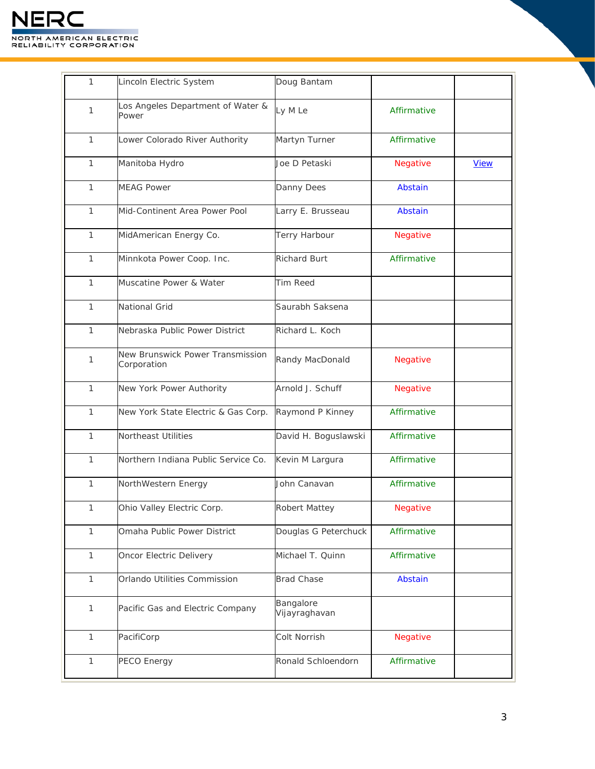

| 1            | Lincoln Electric System                         | Doug Bantam                |                 |             |
|--------------|-------------------------------------------------|----------------------------|-----------------|-------------|
| $\mathbf{1}$ | Los Angeles Department of Water &<br>Power      | Ly M Le                    | Affirmative     |             |
| $\mathbf{1}$ | Lower Colorado River Authority                  | Martyn Turner              | Affirmative     |             |
| $\mathbf{1}$ | Manitoba Hydro                                  | Joe D Petaski              | <b>Negative</b> | <b>View</b> |
| 1            | <b>MEAG Power</b>                               | Danny Dees                 | Abstain         |             |
| $\mathbf{1}$ | Mid-Continent Area Power Pool                   | Larry E. Brusseau          | Abstain         |             |
| $\mathbf{1}$ | MidAmerican Energy Co.                          | Terry Harbour              | <b>Negative</b> |             |
| 1            | Minnkota Power Coop. Inc.                       | <b>Richard Burt</b>        | Affirmative     |             |
| 1            | Muscatine Power & Water                         | <b>Tim Reed</b>            |                 |             |
| $\mathbf{1}$ | <b>National Grid</b>                            | Saurabh Saksena            |                 |             |
| $\mathbf{1}$ | Nebraska Public Power District                  | Richard L. Koch            |                 |             |
| 1            | New Brunswick Power Transmission<br>Corporation | Randy MacDonald            | <b>Negative</b> |             |
| $\mathbf{1}$ | New York Power Authority                        | Arnold J. Schuff           | <b>Negative</b> |             |
| 1            | New York State Electric & Gas Corp.             | Raymond P Kinney           | Affirmative     |             |
| $\mathbf{1}$ | <b>Northeast Utilities</b>                      | David H. Boguslawski       | Affirmative     |             |
| $\mathbf{1}$ | Northern Indiana Public Service Co.             | Kevin M Largura            | Affirmative     |             |
| 1            | NorthWestern Energy                             | John Canavan               | Affirmative     |             |
| 1            | Ohio Valley Electric Corp.                      | Robert Mattey              | <b>Negative</b> |             |
| $\mathbf{1}$ | Omaha Public Power District                     | Douglas G Peterchuck       | Affirmative     |             |
| $\mathbf{1}$ | Oncor Electric Delivery                         | Michael T. Quinn           | Affirmative     |             |
| $\mathbf{1}$ | Orlando Utilities Commission                    | <b>Brad Chase</b>          | Abstain         |             |
| 1            | Pacific Gas and Electric Company                | Bangalore<br>Vijayraghavan |                 |             |
| $\mathbf{1}$ | PacifiCorp                                      | Colt Norrish               | <b>Negative</b> |             |
| $\mathbf{1}$ | PECO Energy                                     | Ronald Schloendorn         | Affirmative     |             |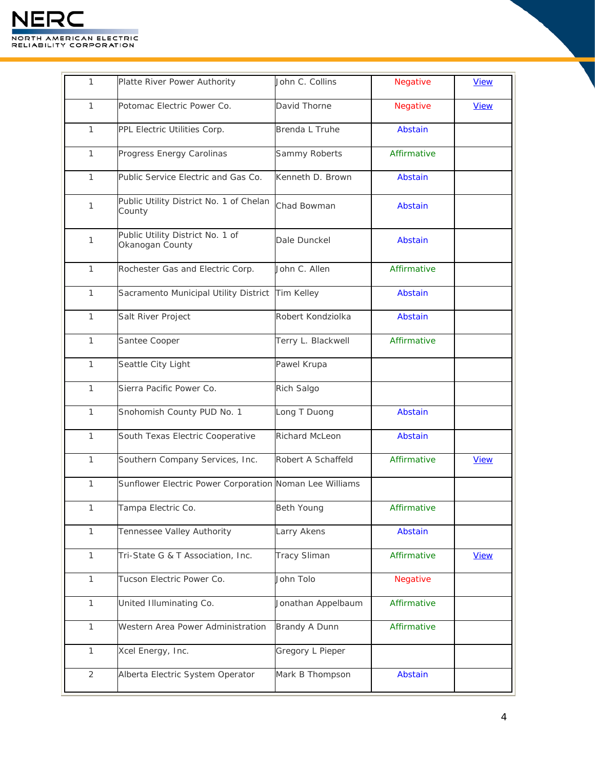

| 1 | Platte River Power Authority                            | John C. Collins     | <b>Negative</b> | <b>View</b> |
|---|---------------------------------------------------------|---------------------|-----------------|-------------|
| 1 | Potomac Electric Power Co.                              | David Thorne        | <b>Negative</b> | <b>View</b> |
| 1 | PPL Electric Utilities Corp.                            | Brenda L Truhe      | Abstain         |             |
| 1 | Progress Energy Carolinas                               | Sammy Roberts       | Affirmative     |             |
| 1 | Public Service Electric and Gas Co.                     | Kenneth D. Brown    | Abstain         |             |
| 1 | Public Utility District No. 1 of Chelan<br>County       | Chad Bowman         | Abstain         |             |
| 1 | Public Utility District No. 1 of<br>Okanogan County     | Dale Dunckel        | Abstain         |             |
| 1 | Rochester Gas and Electric Corp.                        | John C. Allen       | Affirmative     |             |
| 1 | Sacramento Municipal Utility District                   | Tim Kelley          | Abstain         |             |
| 1 | Salt River Project                                      | Robert Kondziolka   | Abstain         |             |
| 1 | Santee Cooper                                           | Terry L. Blackwell  | Affirmative     |             |
| 1 | Seattle City Light                                      | Pawel Krupa         |                 |             |
| 1 | Sierra Pacific Power Co.                                | Rich Salgo          |                 |             |
| 1 | Snohomish County PUD No. 1                              | Long T Duong        | Abstain         |             |
| 1 | South Texas Electric Cooperative                        | Richard McLeon      | Abstain         |             |
| 1 | Southern Company Services, Inc.                         | Robert A Schaffeld  | Affirmative     | <b>View</b> |
| 1 | Sunflower Electric Power Corporation Noman Lee Williams |                     |                 |             |
| 1 | Tampa Electric Co.                                      | Beth Young          | Affirmative     |             |
| 1 | Tennessee Valley Authority                              | Larry Akens         | Abstain         |             |
| 1 | Tri-State G & T Association, Inc.                       | <b>Tracy Sliman</b> | Affirmative     | <b>View</b> |
| 1 | Tucson Electric Power Co.                               | John Tolo           | <b>Negative</b> |             |
| 1 | United Illuminating Co.                                 | Jonathan Appelbaum  | Affirmative     |             |
| 1 | Western Area Power Administration                       | Brandy A Dunn       | Affirmative     |             |
| 1 | Xcel Energy, Inc.                                       | Gregory L Pieper    |                 |             |
| 2 | Alberta Electric System Operator                        | Mark B Thompson     | Abstain         |             |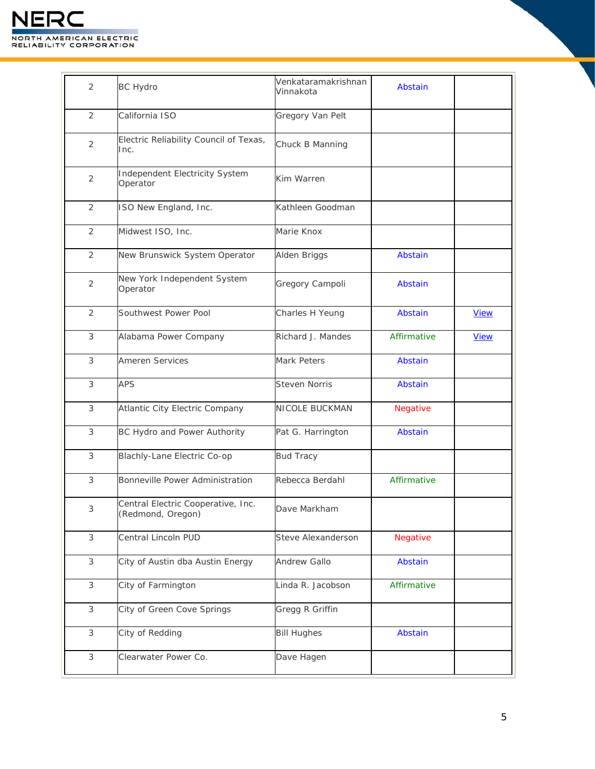

| 2              | <b>BC Hydro</b>                                         | Venkataramakrishnan<br>Vinnakota | Abstain         |             |
|----------------|---------------------------------------------------------|----------------------------------|-----------------|-------------|
| 2              | California ISO                                          | Gregory Van Pelt                 |                 |             |
| 2              | Electric Reliability Council of Texas,<br>Inc.          | Chuck B Manning                  |                 |             |
| 2              | <b>Independent Electricity System</b><br>Operator       | Kim Warren                       |                 |             |
| $\overline{2}$ | ISO New England, Inc.                                   | Kathleen Goodman                 |                 |             |
| 2              | Midwest ISO, Inc.                                       | Marie Knox                       |                 |             |
| 2              | New Brunswick System Operator                           | Alden Briggs                     | Abstain         |             |
| 2              | New York Independent System<br>Operator                 | Gregory Campoli                  | Abstain         |             |
| 2              | Southwest Power Pool                                    | Charles H Yeung                  | Abstain         | <b>View</b> |
| 3              | Alabama Power Company                                   | Richard J. Mandes                | Affirmative     | <b>View</b> |
| 3              | <b>Ameren Services</b>                                  | <b>Mark Peters</b>               | Abstain         |             |
| 3              | <b>APS</b>                                              | <b>Steven Norris</b>             | Abstain         |             |
| 3              | Atlantic City Electric Company                          | <b>NICOLE BUCKMAN</b>            | <b>Negative</b> |             |
| 3              | BC Hydro and Power Authority                            | Pat G. Harrington                | Abstain         |             |
| 3              | Blachly-Lane Electric Co-op                             | <b>Bud Tracy</b>                 |                 |             |
| 3              | Bonneville Power Administration                         | Rebecca Berdahl                  | Affirmative     |             |
| 3              | Central Electric Cooperative, Inc.<br>(Redmond, Oregon) | Dave Markham                     |                 |             |
| 3              | Central Lincoln PUD                                     | Steve Alexanderson               | <b>Negative</b> |             |
| 3              | City of Austin dba Austin Energy                        | <b>Andrew Gallo</b>              | Abstain         |             |
| 3              | City of Farmington                                      | Linda R. Jacobson                | Affirmative     |             |
| 3              | City of Green Cove Springs                              | Gregg R Griffin                  |                 |             |
| 3              | City of Redding                                         | <b>Bill Hughes</b>               | Abstain         |             |
| 3              | Clearwater Power Co.                                    | Dave Hagen                       |                 |             |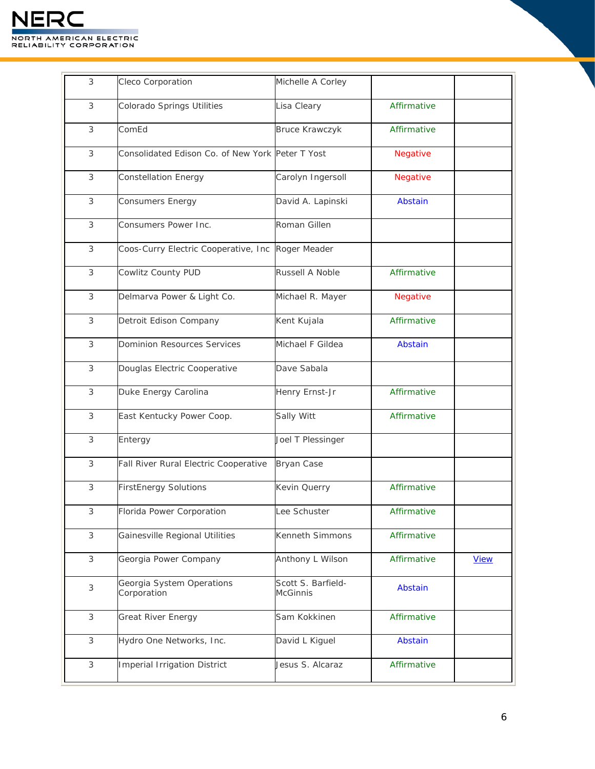

| 3          | Cleco Corporation                                | Michelle A Corley                     |                 |             |
|------------|--------------------------------------------------|---------------------------------------|-----------------|-------------|
| 3          | <b>Colorado Springs Utilities</b>                | Lisa Cleary                           | Affirmative     |             |
| 3          | ComEd                                            | <b>Bruce Krawczyk</b>                 | Affirmative     |             |
| 3          | Consolidated Edison Co. of New York Peter T Yost |                                       | Negative        |             |
| 3          | <b>Constellation Energy</b>                      | Carolyn Ingersoll                     | <b>Negative</b> |             |
| 3          | <b>Consumers Energy</b>                          | David A. Lapinski                     | Abstain         |             |
| 3          | Consumers Power Inc.                             | Roman Gillen                          |                 |             |
| 3          | Coos-Curry Electric Cooperative, Inc             | Roger Meader                          |                 |             |
| 3          | Cowlitz County PUD                               | Russell A Noble                       | Affirmative     |             |
| 3          | Delmarva Power & Light Co.                       | Michael R. Mayer                      | <b>Negative</b> |             |
| 3          | Detroit Edison Company                           | Kent Kujala                           | Affirmative     |             |
| 3          | <b>Dominion Resources Services</b>               | Michael F Gildea                      | Abstain         |             |
| 3          | Douglas Electric Cooperative                     | Dave Sabala                           |                 |             |
| 3          | Duke Energy Carolina                             | Henry Ernst-Jr                        | Affirmative     |             |
| 3          | East Kentucky Power Coop.                        | Sally Witt                            | Affirmative     |             |
| 3          | Entergy                                          | Joel T Plessinger                     |                 |             |
| 3          | Fall River Rural Electric Cooperative            | Bryan Case                            |                 |             |
| $\sqrt{3}$ | <b>FirstEnergy Solutions</b>                     | Kevin Querry                          | Affirmative     |             |
| 3          | Florida Power Corporation                        | Lee Schuster                          | Affirmative     |             |
| 3          | Gainesville Regional Utilities                   | <b>Kenneth Simmons</b>                | Affirmative     |             |
| 3          | Georgia Power Company                            | Anthony L Wilson                      | Affirmative     | <b>View</b> |
| 3          | Georgia System Operations<br>Corporation         | Scott S. Barfield-<br><b>McGinnis</b> | Abstain         |             |
| 3          | <b>Great River Energy</b>                        | Sam Kokkinen                          | Affirmative     |             |
| 3          | Hydro One Networks, Inc.                         | David L Kiguel                        | Abstain         |             |
| 3          | <b>Imperial Irrigation District</b>              | Jesus S. Alcaraz                      | Affirmative     |             |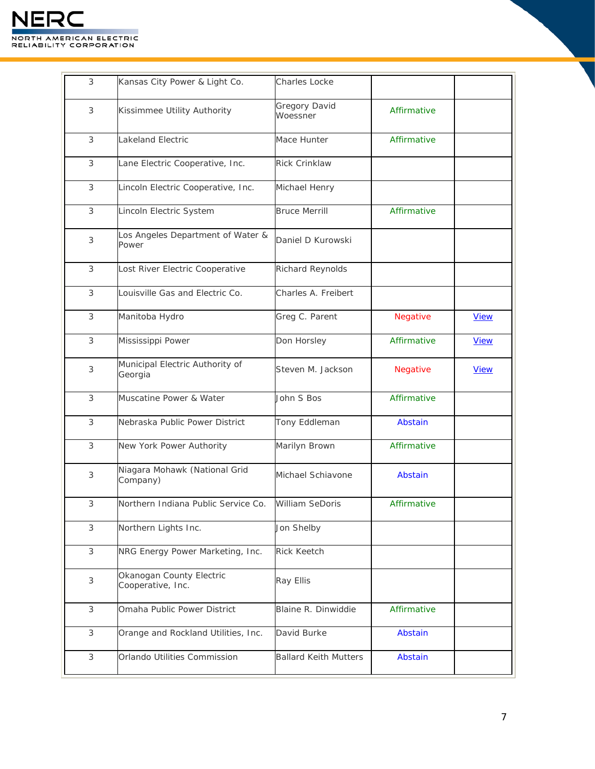

| 3                         | Kansas City Power & Light Co.                 | <b>Charles Locke</b>         |                 |             |
|---------------------------|-----------------------------------------------|------------------------------|-----------------|-------------|
| 3                         | Kissimmee Utility Authority                   | Gregory David<br>Woessner    | Affirmative     |             |
| 3                         | Lakeland Electric                             | Mace Hunter                  | Affirmative     |             |
| 3                         | Lane Electric Cooperative, Inc.               | <b>Rick Crinklaw</b>         |                 |             |
| 3                         | Lincoln Electric Cooperative, Inc.            | Michael Henry                |                 |             |
| 3                         | Lincoln Electric System                       | <b>Bruce Merrill</b>         | Affirmative     |             |
| 3                         | Los Angeles Department of Water &<br>Power    | Daniel D Kurowski            |                 |             |
| 3                         | Lost River Electric Cooperative               | Richard Reynolds             |                 |             |
| 3                         | Louisville Gas and Electric Co.               | Charles A. Freibert          |                 |             |
| 3                         | Manitoba Hydro                                | Greg C. Parent               | <b>Negative</b> | <b>View</b> |
| 3                         | Mississippi Power                             | Don Horsley                  | Affirmative     | <b>View</b> |
| 3                         | Municipal Electric Authority of<br>Georgia    | Steven M. Jackson            | <b>Negative</b> | <b>View</b> |
| 3                         | Muscatine Power & Water                       | John S Bos                   | Affirmative     |             |
| 3                         | Nebraska Public Power District                | Tony Eddleman                | Abstain         |             |
| 3                         | New York Power Authority                      | Marilyn Brown                | Affirmative     |             |
| 3                         | Niagara Mohawk (National Grid<br>Company)     | Michael Schiavone            | Abstain         |             |
| 3                         | Northern Indiana Public Service Co.           | William SeDoris              | Affirmative     |             |
| 3                         | Northern Lights Inc.                          | Jon Shelby                   |                 |             |
| 3                         | NRG Energy Power Marketing, Inc.              | <b>Rick Keetch</b>           |                 |             |
| 3                         | Okanogan County Electric<br>Cooperative, Inc. | Ray Ellis                    |                 |             |
| 3                         | Omaha Public Power District                   | Blaine R. Dinwiddie          | Affirmative     |             |
| 3                         | Orange and Rockland Utilities, Inc.           | David Burke                  | Abstain         |             |
| $\ensuremath{\mathsf{3}}$ | Orlando Utilities Commission                  | <b>Ballard Keith Mutters</b> | Abstain         |             |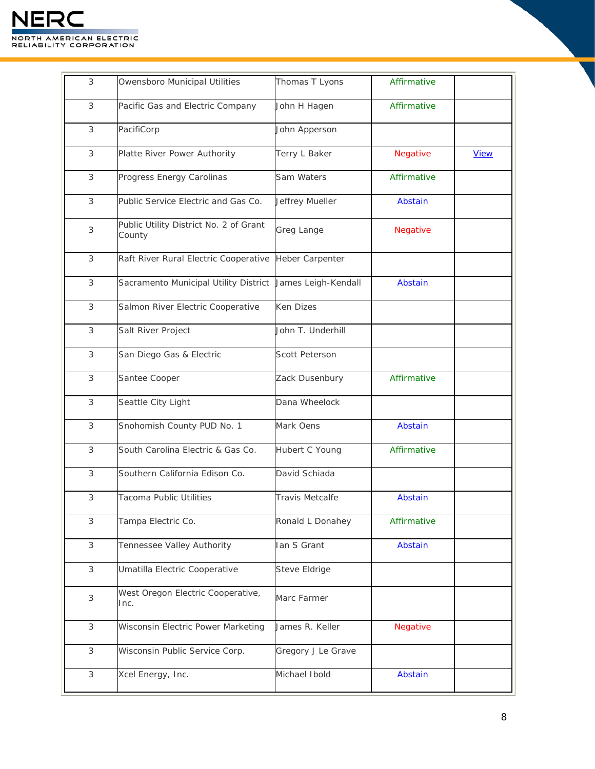

| 3          | Owensboro Municipal Utilities                    | Thomas T Lyons         | Affirmative     |             |
|------------|--------------------------------------------------|------------------------|-----------------|-------------|
| 3          | Pacific Gas and Electric Company                 | John H Hagen           | Affirmative     |             |
| 3          | PacifiCorp                                       | John Apperson          |                 |             |
| 3          | Platte River Power Authority                     | Terry L Baker          | <b>Negative</b> | <b>View</b> |
| 3          | Progress Energy Carolinas                        | Sam Waters             | Affirmative     |             |
| 3          | Public Service Electric and Gas Co.              | Jeffrey Mueller        | Abstain         |             |
| 3          | Public Utility District No. 2 of Grant<br>County | Greg Lange             | <b>Negative</b> |             |
| 3          | Raft River Rural Electric Cooperative            | <b>Heber Carpenter</b> |                 |             |
| 3          | Sacramento Municipal Utility District            | James Leigh-Kendall    | Abstain         |             |
| 3          | Salmon River Electric Cooperative                | <b>Ken Dizes</b>       |                 |             |
| 3          | Salt River Project                               | John T. Underhill      |                 |             |
| 3          | San Diego Gas & Electric                         | <b>Scott Peterson</b>  |                 |             |
| 3          | Santee Cooper                                    | Zack Dusenbury         | Affirmative     |             |
| 3          | Seattle City Light                               | Dana Wheelock          |                 |             |
| 3          | Snohomish County PUD No. 1                       | Mark Oens              | Abstain         |             |
| 3          | South Carolina Electric & Gas Co.                | Hubert C Young         | Affirmative     |             |
| 3          | Southern California Edison Co.                   | David Schiada          |                 |             |
| 3          | Tacoma Public Utilities                          | <b>Travis Metcalfe</b> | Abstain         |             |
| 3          | Tampa Electric Co.                               | Ronald L Donahey       | Affirmative     |             |
| 3          | Tennessee Valley Authority                       | Ian S Grant            | Abstain         |             |
| 3          | Umatilla Electric Cooperative                    | <b>Steve Eldrige</b>   |                 |             |
| $\sqrt{3}$ | West Oregon Electric Cooperative,<br>Inc.        | Marc Farmer            |                 |             |
| 3          | Wisconsin Electric Power Marketing               | James R. Keller        | <b>Negative</b> |             |
| 3          | Wisconsin Public Service Corp.                   | Gregory J Le Grave     |                 |             |
| 3          | Xcel Energy, Inc.                                | Michael Ibold          | Abstain         |             |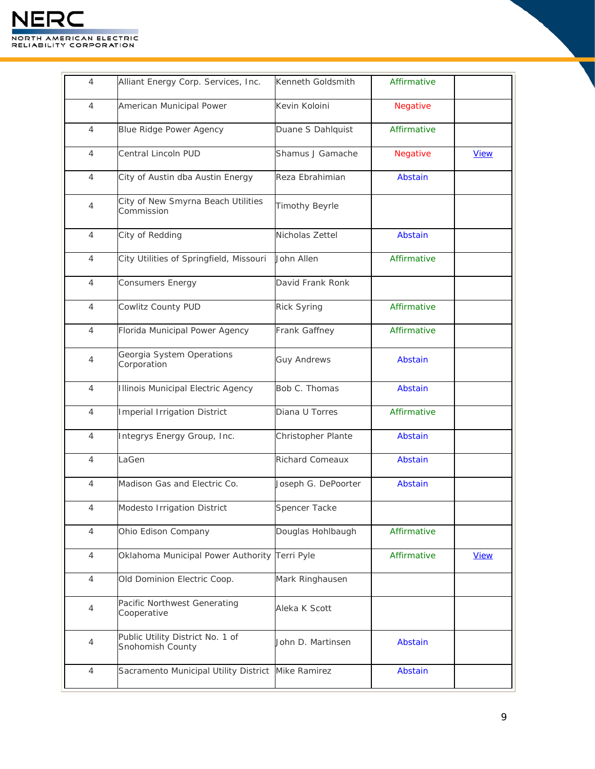

| 4 | Alliant Energy Corp. Services, Inc.                  | Kenneth Goldsmith     | Affirmative     |             |
|---|------------------------------------------------------|-----------------------|-----------------|-------------|
| 4 | American Municipal Power                             | Kevin Koloini         | <b>Negative</b> |             |
| 4 | Blue Ridge Power Agency                              | Duane S Dahlquist     | Affirmative     |             |
| 4 | Central Lincoln PUD                                  | Shamus J Gamache      | <b>Negative</b> | <b>View</b> |
| 4 | City of Austin dba Austin Energy                     | Reza Ebrahimian       | Abstain         |             |
| 4 | City of New Smyrna Beach Utilities<br>Commission     | <b>Timothy Beyrle</b> |                 |             |
| 4 | City of Redding                                      | Nicholas Zettel       | Abstain         |             |
| 4 | City Utilities of Springfield, Missouri              | John Allen            | Affirmative     |             |
| 4 | <b>Consumers Energy</b>                              | David Frank Ronk      |                 |             |
| 4 | Cowlitz County PUD                                   | <b>Rick Syring</b>    | Affirmative     |             |
| 4 | Florida Municipal Power Agency                       | Frank Gaffney         | Affirmative     |             |
| 4 | Georgia System Operations<br>Corporation             | <b>Guy Andrews</b>    | Abstain         |             |
| 4 | Illinois Municipal Electric Agency                   | Bob C. Thomas         | Abstain         |             |
| 4 | <b>Imperial Irrigation District</b>                  | Diana U Torres        | Affirmative     |             |
| 4 | Integrys Energy Group, Inc.                          | Christopher Plante    | Abstain         |             |
| 4 | LaGen                                                | Richard Comeaux       | Abstain         |             |
| 4 | Madison Gas and Electric Co.                         | Joseph G. DePoorter   | Abstain         |             |
| 4 | Modesto Irrigation District                          | Spencer Tacke         |                 |             |
| 4 | Ohio Edison Company                                  | Douglas Hohlbaugh     | Affirmative     |             |
| 4 | Oklahoma Municipal Power Authority Terri Pyle        |                       | Affirmative     | <b>View</b> |
| 4 | Old Dominion Electric Coop.                          | Mark Ringhausen       |                 |             |
| 4 | Pacific Northwest Generating<br>Cooperative          | Aleka K Scott         |                 |             |
| 4 | Public Utility District No. 1 of<br>Snohomish County | John D. Martinsen     | Abstain         |             |
| 4 | Sacramento Municipal Utility District Mike Ramirez   |                       | Abstain         |             |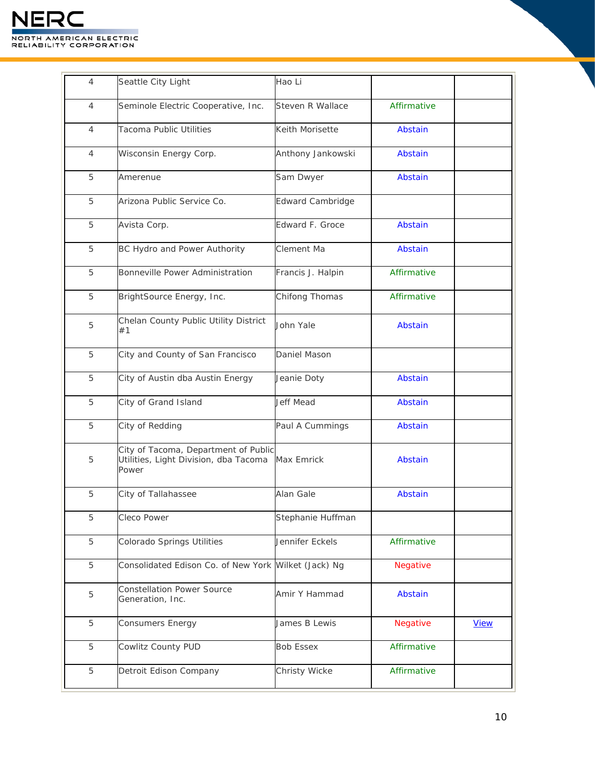

| 4 | Seattle City Light                                                                                | Hao Li                  |             |             |
|---|---------------------------------------------------------------------------------------------------|-------------------------|-------------|-------------|
| 4 | Seminole Electric Cooperative, Inc.                                                               | Steven R Wallace        | Affirmative |             |
| 4 | Tacoma Public Utilities                                                                           | Keith Morisette         | Abstain     |             |
| 4 | Wisconsin Energy Corp.                                                                            | Anthony Jankowski       | Abstain     |             |
| 5 | Amerenue                                                                                          | Sam Dwyer               | Abstain     |             |
| 5 | Arizona Public Service Co.                                                                        | <b>Edward Cambridge</b> |             |             |
| 5 | Avista Corp.                                                                                      | Edward F. Groce         | Abstain     |             |
| 5 | BC Hydro and Power Authority                                                                      | Clement Ma              | Abstain     |             |
| 5 | Bonneville Power Administration                                                                   | Francis J. Halpin       | Affirmative |             |
| 5 | BrightSource Energy, Inc.                                                                         | Chifong Thomas          | Affirmative |             |
| 5 | Chelan County Public Utility District<br>#1                                                       | John Yale               | Abstain     |             |
| 5 | City and County of San Francisco                                                                  | Daniel Mason            |             |             |
| 5 | City of Austin dba Austin Energy                                                                  | Jeanie Doty             | Abstain     |             |
| 5 | City of Grand Island                                                                              | <b>Jeff Mead</b>        | Abstain     |             |
| 5 | City of Redding                                                                                   | Paul A Cummings         | Abstain     |             |
| 5 | City of Tacoma, Department of Public<br>Utilities, Light Division, dba Tacoma Max Emrick<br>Power |                         | Abstain     |             |
| 5 | City of Tallahassee                                                                               | Alan Gale               | Abstain     |             |
| 5 | Cleco Power                                                                                       | Stephanie Huffman       |             |             |
| 5 | <b>Colorado Springs Utilities</b>                                                                 | Jennifer Eckels         | Affirmative |             |
| 5 | Consolidated Edison Co. of New York Wilket (Jack) Ng                                              |                         | Negative    |             |
| 5 | <b>Constellation Power Source</b><br>Generation, Inc.                                             | Amir Y Hammad           | Abstain     |             |
| 5 | <b>Consumers Energy</b>                                                                           | James B Lewis           | Negative    | <b>View</b> |
| 5 | Cowlitz County PUD                                                                                | <b>Bob Essex</b>        | Affirmative |             |
| 5 | Detroit Edison Company                                                                            | Christy Wicke           | Affirmative |             |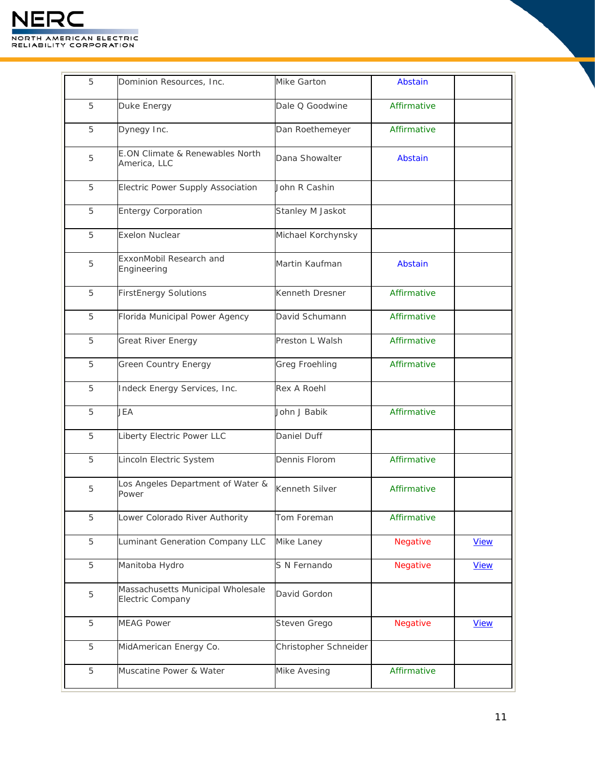

| 5 | Dominion Resources, Inc.                              | <b>Mike Garton</b>    | Abstain         |             |
|---|-------------------------------------------------------|-----------------------|-----------------|-------------|
| 5 | Duke Energy                                           | Dale O Goodwine       | Affirmative     |             |
| 5 | Dynegy Inc.                                           | Dan Roethemeyer       | Affirmative     |             |
| 5 | E.ON Climate & Renewables North<br>America, LLC       | Dana Showalter        | Abstain         |             |
| 5 | Electric Power Supply Association                     | John R Cashin         |                 |             |
| 5 | <b>Entergy Corporation</b>                            | Stanley M Jaskot      |                 |             |
| 5 | <b>Exelon Nuclear</b>                                 | Michael Korchynsky    |                 |             |
| 5 | ExxonMobil Research and<br>Engineering                | Martin Kaufman        | Abstain         |             |
| 5 | <b>FirstEnergy Solutions</b>                          | Kenneth Dresner       | Affirmative     |             |
| 5 | Florida Municipal Power Agency                        | David Schumann        | Affirmative     |             |
| 5 | <b>Great River Energy</b>                             | Preston L Walsh       | Affirmative     |             |
| 5 | <b>Green Country Energy</b>                           | <b>Greg Froehling</b> | Affirmative     |             |
| 5 | Indeck Energy Services, Inc.                          | Rex A Roehl           |                 |             |
| 5 | JEA                                                   | John J Babik          | Affirmative     |             |
| 5 | Liberty Electric Power LLC                            | Daniel Duff           |                 |             |
| 5 | Lincoln Electric System                               | Dennis Florom         | Affirmative     |             |
| 5 | Los Angeles Department of Water &<br>Power            | <b>Kenneth Silver</b> | Affirmative     |             |
| 5 | Lower Colorado River Authority                        | Tom Foreman           | Affirmative     |             |
| 5 | Luminant Generation Company LLC                       | Mike Laney            | <b>Negative</b> | <b>View</b> |
| 5 | Manitoba Hydro                                        | S N Fernando          | Negative        | <b>View</b> |
| 5 | Massachusetts Municipal Wholesale<br>Electric Company | David Gordon          |                 |             |
| 5 | <b>MEAG Power</b>                                     | Steven Grego          | <b>Negative</b> | <b>View</b> |
| 5 | MidAmerican Energy Co.                                | Christopher Schneider |                 |             |
| 5 | Muscatine Power & Water                               | Mike Avesing          | Affirmative     |             |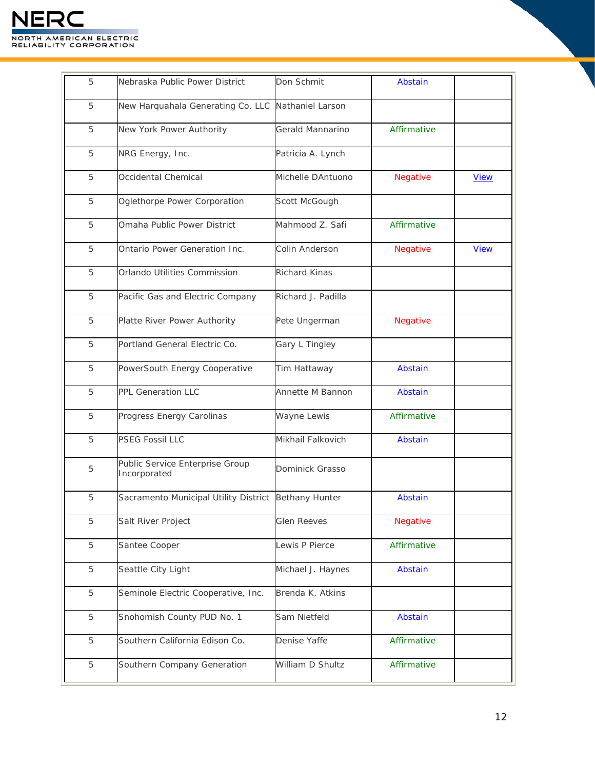

| 5 | Nebraska Public Power District                     | Don Schmit            | Abstain         |             |
|---|----------------------------------------------------|-----------------------|-----------------|-------------|
| 5 | New Harquahala Generating Co. LLC Nathaniel Larson |                       |                 |             |
| 5 | New York Power Authority                           | Gerald Mannarino      | Affirmative     |             |
| 5 | NRG Energy, Inc.                                   | Patricia A. Lynch     |                 |             |
| 5 | Occidental Chemical                                | Michelle DAntuono     | Negative        | <b>View</b> |
| 5 | Oglethorpe Power Corporation                       | Scott McGough         |                 |             |
| 5 | Omaha Public Power District                        | Mahmood Z. Safi       | Affirmative     |             |
| 5 | <b>Ontario Power Generation Inc.</b>               | Colin Anderson        | <b>Negative</b> | <b>View</b> |
| 5 | Orlando Utilities Commission                       | <b>Richard Kinas</b>  |                 |             |
| 5 | Pacific Gas and Electric Company                   | Richard J. Padilla    |                 |             |
| 5 | Platte River Power Authority                       | Pete Ungerman         | <b>Negative</b> |             |
| 5 | Portland General Electric Co.                      | Gary L Tingley        |                 |             |
| 5 | PowerSouth Energy Cooperative                      | Tim Hattaway          | Abstain         |             |
| 5 | PPL Generation LLC                                 | Annette M Bannon      | Abstain         |             |
| 5 | Progress Energy Carolinas                          | Wayne Lewis           | Affirmative     |             |
| 5 | <b>PSEG Fossil LLC</b>                             | Mikhail Falkovich     | Abstain         |             |
| 5 | Public Service Enterprise Group<br>Incorporated    | Dominick Grasso       |                 |             |
| 5 | Sacramento Municipal Utility District              | <b>Bethany Hunter</b> | Abstain         |             |
| 5 | Salt River Project                                 | <b>Glen Reeves</b>    | <b>Negative</b> |             |
| 5 | Santee Cooper                                      | Lewis P Pierce        | Affirmative     |             |
| 5 | Seattle City Light                                 | Michael J. Haynes     | Abstain         |             |
| 5 | Seminole Electric Cooperative, Inc.                | Brenda K. Atkins      |                 |             |
| 5 | Snohomish County PUD No. 1                         | Sam Nietfeld          | Abstain         |             |
| 5 | Southern California Edison Co.                     | Denise Yaffe          | Affirmative     |             |
| 5 | Southern Company Generation                        | William D Shultz      | Affirmative     |             |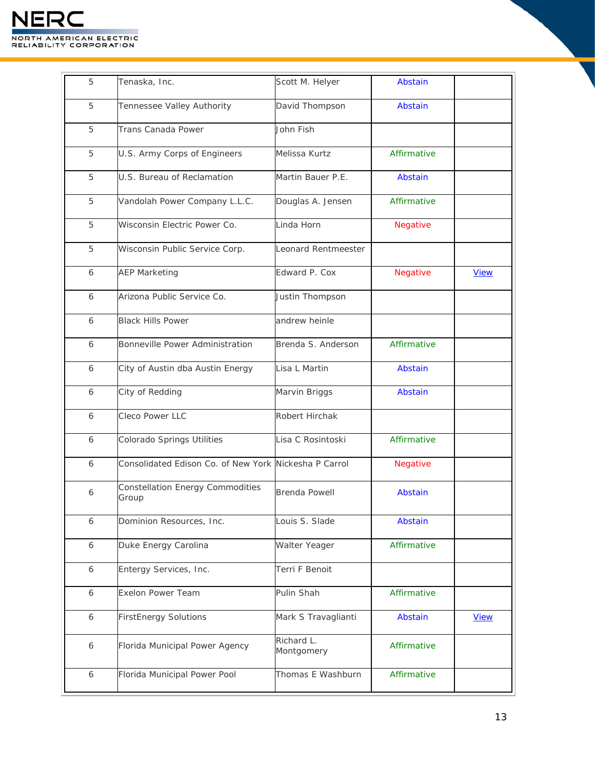

| 5 | Tenaska, Inc.                                         | Scott M. Helyer          | Abstain         |             |
|---|-------------------------------------------------------|--------------------------|-----------------|-------------|
| 5 | Tennessee Valley Authority                            | David Thompson           | Abstain         |             |
| 5 | <b>Trans Canada Power</b>                             | John Fish                |                 |             |
| 5 | U.S. Army Corps of Engineers                          | Melissa Kurtz            | Affirmative     |             |
| 5 | U.S. Bureau of Reclamation                            | Martin Bauer P.E.        | Abstain         |             |
| 5 | Vandolah Power Company L.L.C.                         | Douglas A. Jensen        | Affirmative     |             |
| 5 | Wisconsin Electric Power Co.                          | Linda Horn               | <b>Negative</b> |             |
| 5 | Wisconsin Public Service Corp.                        | Leonard Rentmeester      |                 |             |
| 6 | <b>AEP Marketing</b>                                  | Edward P. Cox            | <b>Negative</b> | <b>View</b> |
| 6 | Arizona Public Service Co.                            | Justin Thompson          |                 |             |
| 6 | <b>Black Hills Power</b>                              | andrew heinle            |                 |             |
| 6 | Bonneville Power Administration                       | Brenda S. Anderson       | Affirmative     |             |
| 6 | City of Austin dba Austin Energy                      | Lisa L Martin            | Abstain         |             |
| 6 | City of Redding                                       | Marvin Briggs            | Abstain         |             |
| 6 | <b>Cleco Power LLC</b>                                | Robert Hirchak           |                 |             |
| 6 | Colorado Springs Utilities                            | Lisa C Rosintoski        | Affirmative     |             |
| 6 | Consolidated Edison Co. of New York Nickesha P Carrol |                          | <b>Negative</b> |             |
| 6 | <b>Constellation Energy Commodities</b><br>Group      | <b>Brenda Powell</b>     | Abstain         |             |
| 6 | Dominion Resources, Inc.                              | Louis S. Slade           | Abstain         |             |
| 6 | Duke Energy Carolina                                  | Walter Yeager            | Affirmative     |             |
| 6 | Entergy Services, Inc.                                | Terri F Benoit           |                 |             |
| 6 | <b>Exelon Power Team</b>                              | Pulin Shah               | Affirmative     |             |
| 6 | <b>FirstEnergy Solutions</b>                          | Mark S Travaglianti      | Abstain         | <b>View</b> |
| 6 | Florida Municipal Power Agency                        | Richard L.<br>Montgomery | Affirmative     |             |
| 6 | Florida Municipal Power Pool                          | Thomas E Washburn        | Affirmative     |             |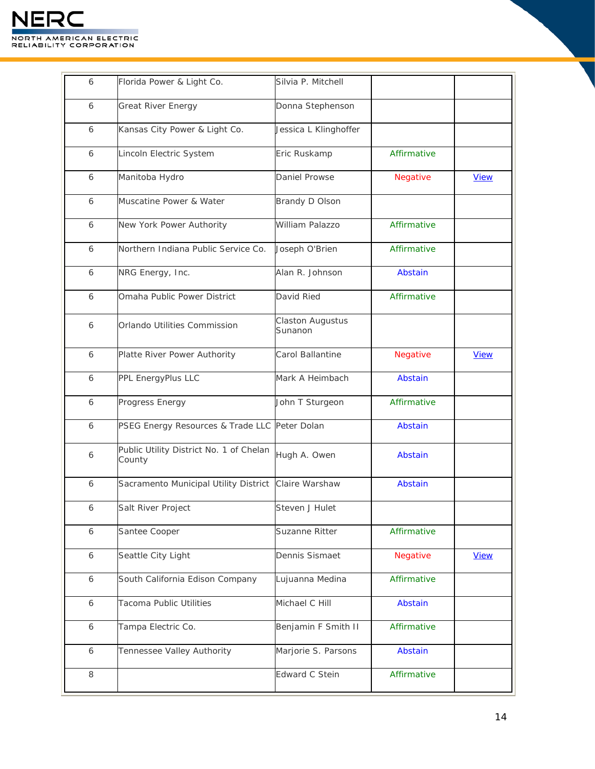

| 6 | Florida Power & Light Co.                         | Silvia P. Mitchell          |                 |             |
|---|---------------------------------------------------|-----------------------------|-----------------|-------------|
| 6 | <b>Great River Energy</b>                         | Donna Stephenson            |                 |             |
| 6 | Kansas City Power & Light Co.                     | Jessica L Klinghoffer       |                 |             |
| 6 | Lincoln Electric System                           | Eric Ruskamp                | Affirmative     |             |
| 6 | Manitoba Hydro                                    | Daniel Prowse               | <b>Negative</b> | <b>View</b> |
| 6 | Muscatine Power & Water                           | Brandy D Olson              |                 |             |
| 6 | New York Power Authority                          | William Palazzo             | Affirmative     |             |
| 6 | Northern Indiana Public Service Co.               | Joseph O'Brien              | Affirmative     |             |
| 6 | NRG Energy, Inc.                                  | Alan R. Johnson             | Abstain         |             |
| 6 | Omaha Public Power District                       | David Ried                  | Affirmative     |             |
| 6 | Orlando Utilities Commission                      | Claston Augustus<br>Sunanon |                 |             |
| 6 | Platte River Power Authority                      | <b>Carol Ballantine</b>     | Negative        | <b>View</b> |
| 6 | PPL EnergyPlus LLC                                | Mark A Heimbach             | Abstain         |             |
| 6 | Progress Energy                                   | John T Sturgeon             | Affirmative     |             |
| 6 | PSEG Energy Resources & Trade LLC Peter Dolan     |                             | Abstain         |             |
| 6 | Public Utility District No. 1 of Chelan<br>County | Hugh A. Owen                | Abstain         |             |
| 6 | Sacramento Municipal Utility District             | Claire Warshaw              | Abstain         |             |
| 6 | Salt River Project                                | Steven J Hulet              |                 |             |
| 6 | Santee Cooper                                     | Suzanne Ritter              | Affirmative     |             |
| 6 | Seattle City Light                                | Dennis Sismaet              | Negative        | <b>View</b> |
| 6 | South California Edison Company                   | Lujuanna Medina             | Affirmative     |             |
| 6 | Tacoma Public Utilities                           | Michael C Hill              | Abstain         |             |
| 6 | Tampa Electric Co.                                | Benjamin F Smith II         | Affirmative     |             |
| 6 | Tennessee Valley Authority                        | Marjorie S. Parsons         | Abstain         |             |
| 8 |                                                   | <b>Edward C Stein</b>       | Affirmative     |             |